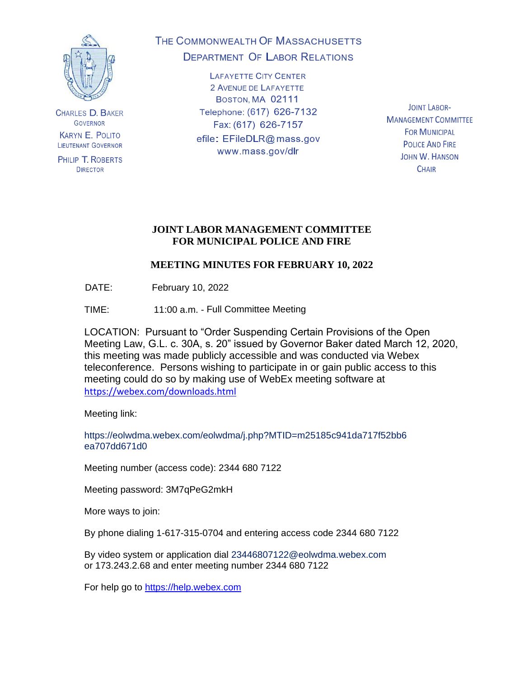

**CHARLES D. BAKER GOVERNOR KARYN E. POLITO LIEUTENANT GOVERNOR** 

PHILIP T. ROBERTS **DIRECTOR** 

# THE COMMONWEALTH OF MASSACHUSETTS **DEPARTMENT OF LABOR RELATIONS**

**LAFAYETTE CITY CENTER** 2 AVENUE DE LAFAYETTE BOSTON, MA 02111 Telephone: (617) 626-7132 Fax: (617) 626-7157 efile: EFileDLR@mass.gov www.mass.gov/dlr

**JOINT LABOR-MANAGEMENT COMMITTEE FOR MUNICIPAL POLICE AND FIRE JOHN W. HANSON CHAIR** 

# **JOINT LABOR MANAGEMENT COMMITTEE FOR MUNICIPAL POLICE AND FIRE**

# **MEETING MINUTES FOR FEBRUARY 10, 2022**

DATE: February 10, 2022

TIME: 11:00 a.m. - Full Committee Meeting

LOCATION: Pursuant to "Order Suspending Certain Provisions of the Open Meeting Law, G.L. c. 30A, s. 20" issued by Governor Baker dated March 12, 2020, this meeting was made publicly accessible and was conducted via Webex teleconference. Persons wishing to participate in or gain public access to this meeting could do so by making use of WebEx meeting software at <https://webex.com/downloads.html>

Meeting link:

https://eolwdma.webex.com/eolwdma/j.php?MTID=m25185c941da717f52bb6 ea707dd671d0

Meeting number (access code): 2344 680 7122

Meeting password: 3M7qPeG2mkH

More ways to join:

By phone dialing 1-617-315-0704 and entering access code 2344 680 7122

By video system or application dial 23446807122@eolwdma.webex.com or 173.243.2.68 and enter meeting number 2344 680 7122

For help go to [https://help.webex.com](https://help.webex.com/)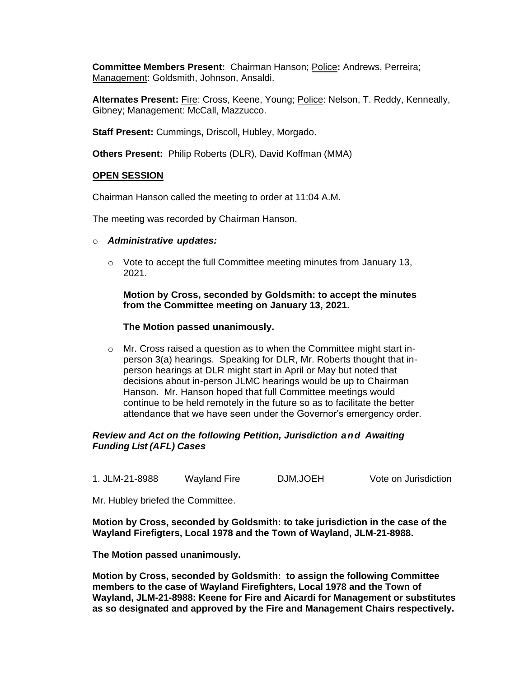**Committee Members Present:** Chairman Hanson; Police**:** Andrews, Perreira; Management: Goldsmith, Johnson, Ansaldi.

**Alternates Present:** Fire: Cross, Keene, Young; Police: Nelson, T. Reddy, Kenneally, Gibney; Management: McCall, Mazzucco.

**Staff Present:** Cummings**,** Driscoll**,** Hubley, Morgado.

**Others Present:** Philip Roberts (DLR), David Koffman (MMA)

#### **OPEN SESSION**

Chairman Hanson called the meeting to order at 11:04 A.M.

The meeting was recorded by Chairman Hanson.

- o *Administrative updates:*
	- $\circ$  Vote to accept the full Committee meeting minutes from January 13, 2021.

## **Motion by Cross, seconded by Goldsmith: to accept the minutes from the Committee meeting on January 13, 2021.**

#### **The Motion passed unanimously.**

o Mr. Cross raised a question as to when the Committee might start inperson 3(a) hearings. Speaking for DLR, Mr. Roberts thought that inperson hearings at DLR might start in April or May but noted that decisions about in-person JLMC hearings would be up to Chairman Hanson. Mr. Hanson hoped that full Committee meetings would continue to be held remotely in the future so as to facilitate the better attendance that we have seen under the Governor's emergency order.

## *Review and Act on the following Petition, Jurisdiction and Awaiting Funding List (AFL) Cases*

1. JLM-21-8988 Wayland Fire DJM,JOEH Vote on Jurisdiction

Mr. Hubley briefed the Committee.

**Motion by Cross, seconded by Goldsmith: to take jurisdiction in the case of the Wayland Firefigters, Local 1978 and the Town of Wayland, JLM-21-8988.**

**The Motion passed unanimously.**

**Motion by Cross, seconded by Goldsmith: to assign the following Committee members to the case of Wayland Firefighters, Local 1978 and the Town of Wayland, JLM-21-8988: Keene for Fire and Aicardi for Management or substitutes as so designated and approved by the Fire and Management Chairs respectively.**